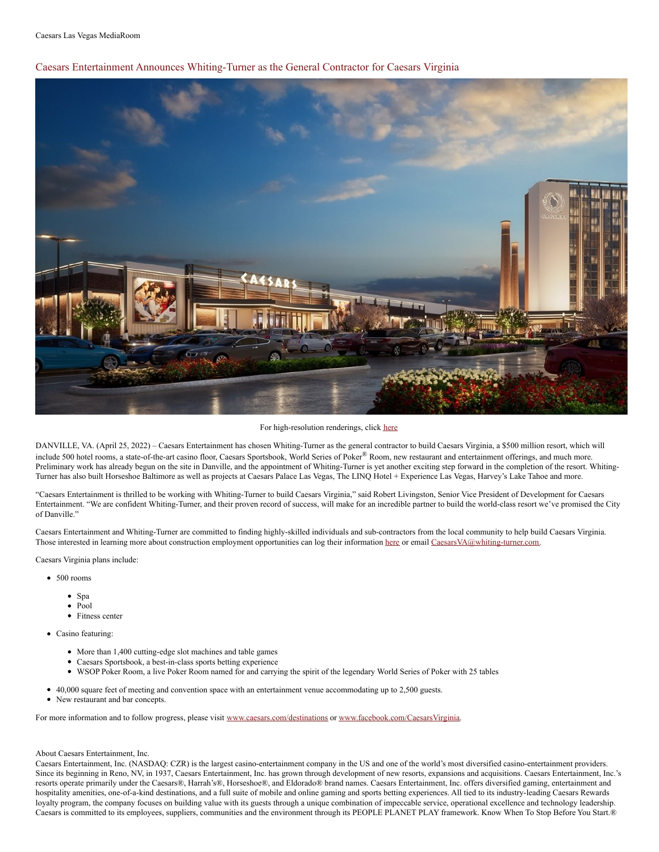Caesars Entertainment Announces Whiting-Turner as the General Contractor for Caesars Virginia



For high-resolution renderings, click [here](https://www.dropbox.com/sh/cdxnl5ww7k6lh55/AACXaAwvgH51k12cIi_S1bVVa?dl=0)

DANVILLE, VA. (April 25, 2022) – Caesars Entertainment has chosen Whiting-Turner as the general contractor to build Caesars Virginia, a \$500 million resort, which will include 500 hotel rooms, a state-of-the-art casino floor, Caesars Sportsbook, World Series of Poker® Room, new restaurant and entertainment offerings, and much more. Preliminary work has already begun on the site in Danville, and the appointment of Whiting-Turner is yet another exciting step forward in the completion of the resort. Whiting-Turner has also built Horseshoe Baltimore as well as projects at Caesars Palace Las Vegas, The LINQ Hotel + Experience Las Vegas, Harvey's Lake Tahoe and more.

"Caesars Entertainment is thrilled to be working with Whiting-Turner to build Caesars Virginia," said Robert Livingston, Senior Vice President of Development for Caesars Entertainment. "We are confident Whiting-Turner, and their proven record of success, will make for an incredible partner to build the world-class resort we've promised the City of Danville."

Caesars Entertainment and Whiting-Turner are committed to finding highly-skilled individuals and sub-contractors from the local community to help build Caesars Virginia. Those interested in learning more about construction employment opportunities can log their information [here](https://forms.office.com/Pages/ResponsePage.aspx?id=unVW4GjFmkikPUzzgwxq8NxMBhn5W0NOg2xl8oCVpo1UNTJXNVhURllKWTFDUzYzWVZVWlI3WVpGRy4u) or email [CaesarsVA@whiting-turner.com](mailto:CaesarsVA@whiting-turner.com).

Caesars Virginia plans include:

- 500 rooms
	- Spa
	- Pool
	- Fitness center
- Casino featuring:
	- More than 1,400 cutting-edge slot machines and table games
	- Caesars Sportsbook, a best-in-class sports betting experience
	- WSOP Poker Room, a live Poker Room named for and carrying the spirit of the legendary World Series of Poker with 25 tables
- 40,000 square feet of meeting and convention space with an entertainment venue accommodating up to 2,500 guests.
- New restaurant and bar concepts.

For more information and to follow progress, please visit [www.caesars.com/destinations](http://www.caesars.com/destinations) or [www.facebook.com/CaesarsVirginia](http://www.facebook.com/CaesarsVirginia).

## About Caesars Entertainment, Inc.

Caesars Entertainment, Inc. (NASDAQ: CZR) is the largest casino-entertainment company in the US and one of the world's most diversified casino-entertainment providers. Since its beginning in Reno, NV, in 1937, Caesars Entertainment, Inc. has grown through development of new resorts, expansions and acquisitions. Caesars Entertainment, Inc.'s resorts operate primarily under the Caesars®, Harrah's®, Horseshoe®, and Eldorado® brand names. Caesars Entertainment, Inc. offers diversified gaming, entertainment and hospitality amenities, one-of-a-kind destinations, and a full suite of mobile and online gaming and sports betting experiences. All tied to its industry-leading Caesars Rewards loyalty program, the company focuses on building value with its guests through a unique combination of impeccable service, operational excellence and technology leadership. Caesars is committed to its employees, suppliers, communities and the environment through its PEOPLE PLANET PLAY framework. Know When To Stop Before You Start.®